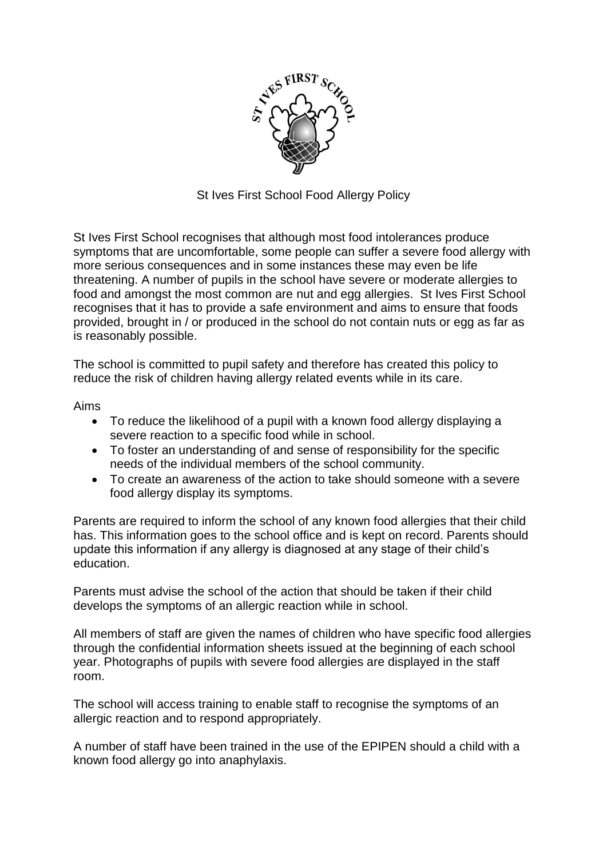

St Ives First School Food Allergy Policy

St Ives First School recognises that although most food intolerances produce symptoms that are uncomfortable, some people can suffer a severe food allergy with more serious consequences and in some instances these may even be life threatening. A number of pupils in the school have severe or moderate allergies to food and amongst the most common are nut and egg allergies. St Ives First School recognises that it has to provide a safe environment and aims to ensure that foods provided, brought in / or produced in the school do not contain nuts or egg as far as is reasonably possible.

The school is committed to pupil safety and therefore has created this policy to reduce the risk of children having allergy related events while in its care.

Aims

- To reduce the likelihood of a pupil with a known food allergy displaying a severe reaction to a specific food while in school.
- To foster an understanding of and sense of responsibility for the specific needs of the individual members of the school community.
- To create an awareness of the action to take should someone with a severe food allergy display its symptoms.

Parents are required to inform the school of any known food allergies that their child has. This information goes to the school office and is kept on record. Parents should update this information if any allergy is diagnosed at any stage of their child's education.

Parents must advise the school of the action that should be taken if their child develops the symptoms of an allergic reaction while in school.

All members of staff are given the names of children who have specific food allergies through the confidential information sheets issued at the beginning of each school year. Photographs of pupils with severe food allergies are displayed in the staff room.

The school will access training to enable staff to recognise the symptoms of an allergic reaction and to respond appropriately.

A number of staff have been trained in the use of the EPIPEN should a child with a known food allergy go into anaphylaxis.